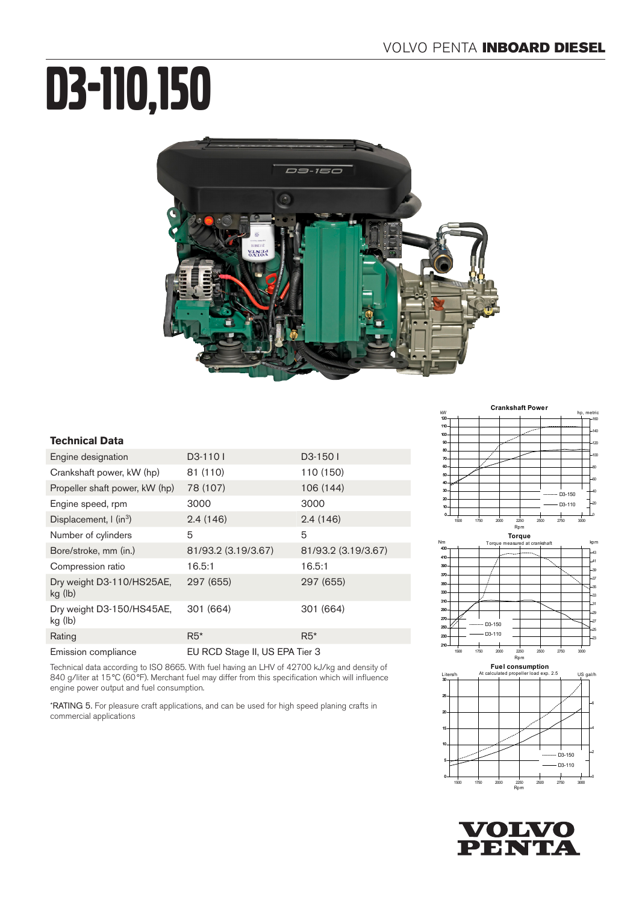# D3-110,150



### **Technical Data**

| Engine designation                      | D3-110                         | D3-1501             |
|-----------------------------------------|--------------------------------|---------------------|
| Crankshaft power, kW (hp)               | 81 (110)                       | 110 (150)           |
| Propeller shaft power, kW (hp)          | 78 (107)                       | 106 (144)           |
| Engine speed, rpm                       | 3000                           | 3000                |
| Displacement, $\int$ (in <sup>3</sup> ) | 2.4(146)                       | 2.4(146)            |
| Number of cylinders                     | 5                              | 5                   |
| Bore/stroke, mm (in.)                   | 81/93.2 (3.19/3.67)            | 81/93.2 (3.19/3.67) |
| Compression ratio                       | 16.5:1                         | 16.5:1              |
| Dry weight D3-110/HS25AE,<br>kg (lb)    | 297 (655)                      | 297 (655)           |
| Dry weight D3-150/HS45AE,<br>kg (lb)    | 301 (664)                      | 301 (664)           |
| Rating                                  | $R5*$                          | $R5*$               |
| Emission compliance                     | EU RCD Stage II, US EPA Tier 3 |                     |

Technical data according to ISO 8665. With fuel having an LHV of 42700 kJ/kg and density of 840 g/liter at 15°C (60°F). Merchant fuel may differ from this specification which will influence engine power output and fuel consumption.

\*RATING 5. For pleasure craft applications, and can be used for high speed planing crafts in commercial applications